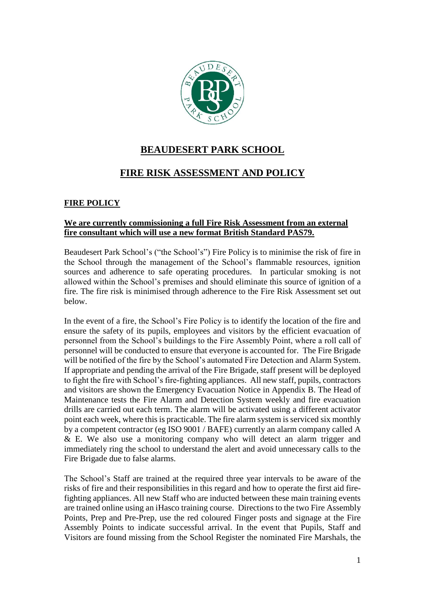

# **BEAUDESERT PARK SCHOOL**

## **FIRE RISK ASSESSMENT AND POLICY**

## **FIRE POLICY**

### **We are currently commissioning a full Fire Risk Assessment from an external fire consultant which will use a new format British Standard PAS79.**

Beaudesert Park School's ("the School's") Fire Policy is to minimise the risk of fire in the School through the management of the School's flammable resources, ignition sources and adherence to safe operating procedures. In particular smoking is not allowed within the School's premises and should eliminate this source of ignition of a fire. The fire risk is minimised through adherence to the Fire Risk Assessment set out below.

In the event of a fire, the School's Fire Policy is to identify the location of the fire and ensure the safety of its pupils, employees and visitors by the efficient evacuation of personnel from the School's buildings to the Fire Assembly Point, where a roll call of personnel will be conducted to ensure that everyone is accounted for. The Fire Brigade will be notified of the fire by the School's automated Fire Detection and Alarm System. If appropriate and pending the arrival of the Fire Brigade, staff present will be deployed to fight the fire with School's fire-fighting appliances. All new staff, pupils, contractors and visitors are shown the Emergency Evacuation Notice in Appendix B. The Head of Maintenance tests the Fire Alarm and Detection System weekly and fire evacuation drills are carried out each term. The alarm will be activated using a different activator point each week, where this is practicable. The fire alarm system is serviced six monthly by a competent contractor (eg ISO 9001 / BAFE) currently an alarm company called A & E. We also use a monitoring company who will detect an alarm trigger and immediately ring the school to understand the alert and avoid unnecessary calls to the Fire Brigade due to false alarms.

The School's Staff are trained at the required three year intervals to be aware of the risks of fire and their responsibilities in this regard and how to operate the first aid firefighting appliances. All new Staff who are inducted between these main training events are trained online using an iHasco training course. Directions to the two Fire Assembly Points, Prep and Pre-Prep, use the red coloured Finger posts and signage at the Fire Assembly Points to indicate successful arrival. In the event that Pupils, Staff and Visitors are found missing from the School Register the nominated Fire Marshals, the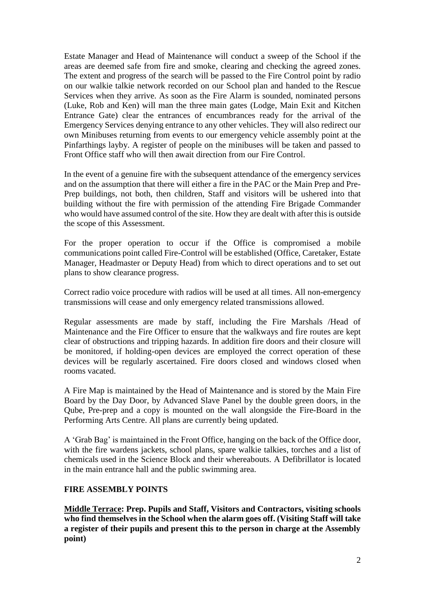Estate Manager and Head of Maintenance will conduct a sweep of the School if the areas are deemed safe from fire and smoke, clearing and checking the agreed zones. The extent and progress of the search will be passed to the Fire Control point by radio on our walkie talkie network recorded on our School plan and handed to the Rescue Services when they arrive. As soon as the Fire Alarm is sounded, nominated persons (Luke, Rob and Ken) will man the three main gates (Lodge, Main Exit and Kitchen Entrance Gate) clear the entrances of encumbrances ready for the arrival of the Emergency Services denying entrance to any other vehicles. They will also redirect our own Minibuses returning from events to our emergency vehicle assembly point at the Pinfarthings layby. A register of people on the minibuses will be taken and passed to Front Office staff who will then await direction from our Fire Control.

In the event of a genuine fire with the subsequent attendance of the emergency services and on the assumption that there will either a fire in the PAC or the Main Prep and Pre-Prep buildings, not both, then children, Staff and visitors will be ushered into that building without the fire with permission of the attending Fire Brigade Commander who would have assumed control of the site. How they are dealt with after this is outside the scope of this Assessment.

For the proper operation to occur if the Office is compromised a mobile communications point called Fire-Control will be established (Office, Caretaker, Estate Manager, Headmaster or Deputy Head) from which to direct operations and to set out plans to show clearance progress.

Correct radio voice procedure with radios will be used at all times. All non-emergency transmissions will cease and only emergency related transmissions allowed.

Regular assessments are made by staff, including the Fire Marshals /Head of Maintenance and the Fire Officer to ensure that the walkways and fire routes are kept clear of obstructions and tripping hazards. In addition fire doors and their closure will be monitored, if holding-open devices are employed the correct operation of these devices will be regularly ascertained. Fire doors closed and windows closed when rooms vacated.

A Fire Map is maintained by the Head of Maintenance and is stored by the Main Fire Board by the Day Door, by Advanced Slave Panel by the double green doors, in the Qube, Pre-prep and a copy is mounted on the wall alongside the Fire-Board in the Performing Arts Centre. All plans are currently being updated.

A 'Grab Bag' is maintained in the Front Office, hanging on the back of the Office door, with the fire wardens jackets, school plans, spare walkie talkies, torches and a list of chemicals used in the Science Block and their whereabouts. A Defibrillator is located in the main entrance hall and the public swimming area.

### **FIRE ASSEMBLY POINTS**

**Middle Terrace: Prep. Pupils and Staff, Visitors and Contractors, visiting schools who find themselves in the School when the alarm goes off. (Visiting Staff will take a register of their pupils and present this to the person in charge at the Assembly point)**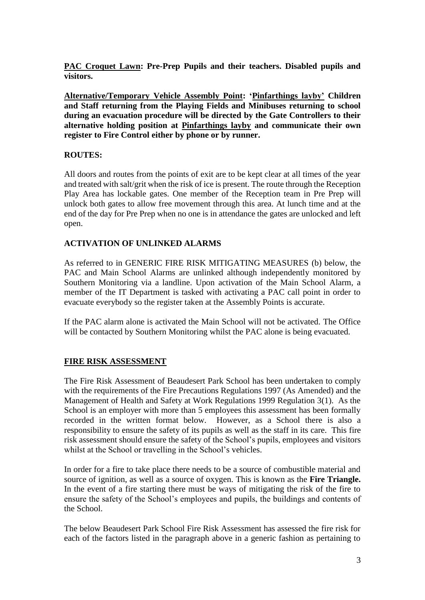**PAC Croquet Lawn: Pre-Prep Pupils and their teachers. Disabled pupils and visitors.**

**Alternative/Temporary Vehicle Assembly Point: 'Pinfarthings layby' Children and Staff returning from the Playing Fields and Minibuses returning to school during an evacuation procedure will be directed by the Gate Controllers to their alternative holding position at Pinfarthings layby and communicate their own register to Fire Control either by phone or by runner.**

### **ROUTES:**

All doors and routes from the points of exit are to be kept clear at all times of the year and treated with salt/grit when the risk of ice is present. The route through the Reception Play Area has lockable gates. One member of the Reception team in Pre Prep will unlock both gates to allow free movement through this area. At lunch time and at the end of the day for Pre Prep when no one is in attendance the gates are unlocked and left open.

### **ACTIVATION OF UNLINKED ALARMS**

As referred to in GENERIC FIRE RISK MITIGATING MEASURES (b) below, the PAC and Main School Alarms are unlinked although independently monitored by Southern Monitoring via a landline. Upon activation of the Main School Alarm, a member of the IT Department is tasked with activating a PAC call point in order to evacuate everybody so the register taken at the Assembly Points is accurate.

If the PAC alarm alone is activated the Main School will not be activated. The Office will be contacted by Southern Monitoring whilst the PAC alone is being evacuated.

### **FIRE RISK ASSESSMENT**

The Fire Risk Assessment of Beaudesert Park School has been undertaken to comply with the requirements of the Fire Precautions Regulations 1997 (As Amended) and the Management of Health and Safety at Work Regulations 1999 Regulation 3(1). As the School is an employer with more than 5 employees this assessment has been formally recorded in the written format below. However, as a School there is also a responsibility to ensure the safety of its pupils as well as the staff in its care. This fire risk assessment should ensure the safety of the School's pupils, employees and visitors whilst at the School or travelling in the School's vehicles.

In order for a fire to take place there needs to be a source of combustible material and source of ignition, as well as a source of oxygen. This is known as the **Fire Triangle.** In the event of a fire starting there must be ways of mitigating the risk of the fire to ensure the safety of the School's employees and pupils, the buildings and contents of the School.

The below Beaudesert Park School Fire Risk Assessment has assessed the fire risk for each of the factors listed in the paragraph above in a generic fashion as pertaining to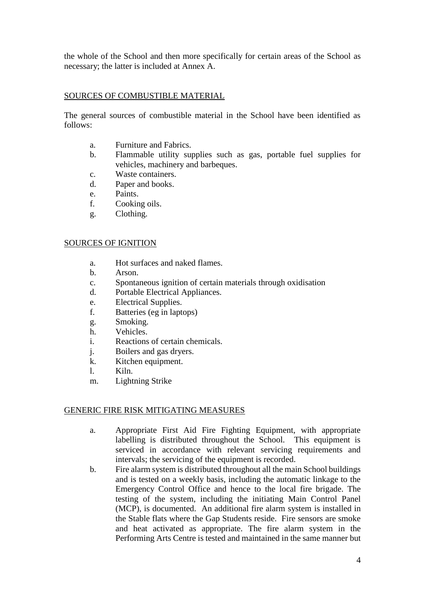the whole of the School and then more specifically for certain areas of the School as necessary; the latter is included at Annex A.

### SOURCES OF COMBUSTIBLE MATERIAL

The general sources of combustible material in the School have been identified as follows:

- a. Furniture and Fabrics.
- b. Flammable utility supplies such as gas, portable fuel supplies for vehicles, machinery and barbeques.
- c. Waste containers.
- d. Paper and books.
- e. Paints.
- f. Cooking oils.
- g. Clothing.

#### SOURCES OF IGNITION

- a. Hot surfaces and naked flames.
- b. Arson.
- c. Spontaneous ignition of certain materials through oxidisation
- d. Portable Electrical Appliances.
- e. Electrical Supplies.
- f. Batteries (eg in laptops)
- g. Smoking.
- h. Vehicles.
- i. Reactions of certain chemicals.
- j. Boilers and gas dryers.
- k. Kitchen equipment.
- l. Kiln.
- m. Lightning Strike

#### GENERIC FIRE RISK MITIGATING MEASURES

- a. Appropriate First Aid Fire Fighting Equipment, with appropriate labelling is distributed throughout the School. This equipment is serviced in accordance with relevant servicing requirements and intervals; the servicing of the equipment is recorded.
- b. Fire alarm system is distributed throughout all the main School buildings and is tested on a weekly basis, including the automatic linkage to the Emergency Control Office and hence to the local fire brigade. The testing of the system, including the initiating Main Control Panel (MCP), is documented. An additional fire alarm system is installed in the Stable flats where the Gap Students reside. Fire sensors are smoke and heat activated as appropriate. The fire alarm system in the Performing Arts Centre is tested and maintained in the same manner but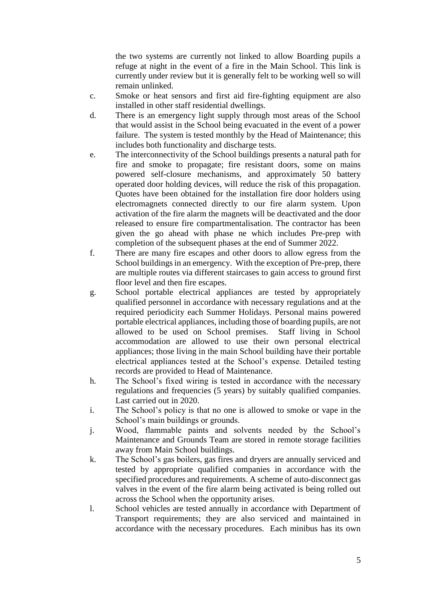the two systems are currently not linked to allow Boarding pupils a refuge at night in the event of a fire in the Main School. This link is currently under review but it is generally felt to be working well so will remain unlinked.

- c. Smoke or heat sensors and first aid fire-fighting equipment are also installed in other staff residential dwellings.
- d. There is an emergency light supply through most areas of the School that would assist in the School being evacuated in the event of a power failure. The system is tested monthly by the Head of Maintenance; this includes both functionality and discharge tests.
- e. The interconnectivity of the School buildings presents a natural path for fire and smoke to propagate; fire resistant doors, some on mains powered self-closure mechanisms, and approximately 50 battery operated door holding devices, will reduce the risk of this propagation. Quotes have been obtained for the installation fire door holders using electromagnets connected directly to our fire alarm system. Upon activation of the fire alarm the magnets will be deactivated and the door released to ensure fire compartmentalisation. The contractor has been given the go ahead with phase ne which includes Pre-prep with completion of the subsequent phases at the end of Summer 2022.
- f. There are many fire escapes and other doors to allow egress from the School buildings in an emergency. With the exception of Pre-prep, there are multiple routes via different staircases to gain access to ground first floor level and then fire escapes.
- g. School portable electrical appliances are tested by appropriately qualified personnel in accordance with necessary regulations and at the required periodicity each Summer Holidays. Personal mains powered portable electrical appliances, including those of boarding pupils, are not allowed to be used on School premises. Staff living in School accommodation are allowed to use their own personal electrical appliances; those living in the main School building have their portable electrical appliances tested at the School's expense. Detailed testing records are provided to Head of Maintenance.
- h. The School's fixed wiring is tested in accordance with the necessary regulations and frequencies (5 years) by suitably qualified companies. Last carried out in 2020.
- i. The School's policy is that no one is allowed to smoke or vape in the School's main buildings or grounds.
- j. Wood, flammable paints and solvents needed by the School's Maintenance and Grounds Team are stored in remote storage facilities away from Main School buildings.
- k. The School's gas boilers, gas fires and dryers are annually serviced and tested by appropriate qualified companies in accordance with the specified procedures and requirements. A scheme of auto-disconnect gas valves in the event of the fire alarm being activated is being rolled out across the School when the opportunity arises.
- l. School vehicles are tested annually in accordance with Department of Transport requirements; they are also serviced and maintained in accordance with the necessary procedures. Each minibus has its own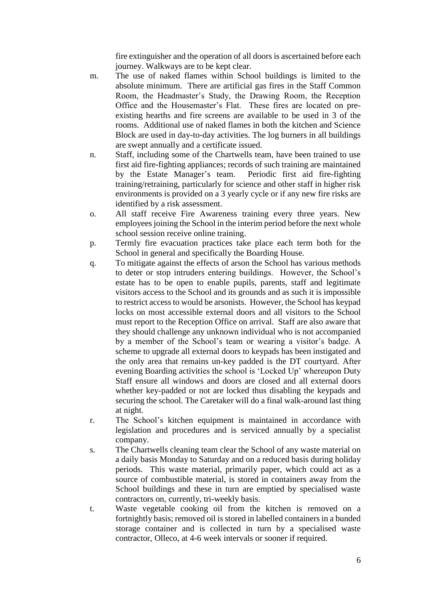fire extinguisher and the operation of all doors is ascertained before each journey. Walkways are to be kept clear.

- m. The use of naked flames within School buildings is limited to the absolute minimum. There are artificial gas fires in the Staff Common Room, the Headmaster's Study, the Drawing Room, the Reception Office and the Housemaster's Flat. These fires are located on preexisting hearths and fire screens are available to be used in 3 of the rooms. Additional use of naked flames in both the kitchen and Science Block are used in day-to-day activities. The log burners in all buildings are swept annually and a certificate issued.
- n. Staff, including some of the Chartwells team, have been trained to use first aid fire-fighting appliances; records of such training are maintained by the Estate Manager's team. Periodic first aid fire-fighting training/retraining, particularly for science and other staff in higher risk environments is provided on a 3 yearly cycle or if any new fire risks are identified by a risk assessment.
- o. All staff receive Fire Awareness training every three years. New employees joining the School in the interim period before the next whole school session receive online training.
- p. Termly fire evacuation practices take place each term both for the School in general and specifically the Boarding House.
- q. To mitigate against the effects of arson the School has various methods to deter or stop intruders entering buildings. However, the School's estate has to be open to enable pupils, parents, staff and legitimate visitors access to the School and its grounds and as such it is impossible to restrict access to would be arsonists. However, the School has keypad locks on most accessible external doors and all visitors to the School must report to the Reception Office on arrival. Staff are also aware that they should challenge any unknown individual who is not accompanied by a member of the School's team or wearing a visitor's badge. A scheme to upgrade all external doors to keypads has been instigated and the only area that remains un-key padded is the DT courtyard. After evening Boarding activities the school is 'Locked Up' whereupon Duty Staff ensure all windows and doors are closed and all external doors whether key-padded or not are locked thus disabling the keypads and securing the school. The Caretaker will do a final walk-around last thing at night.
- r. The School's kitchen equipment is maintained in accordance with legislation and procedures and is serviced annually by a specialist company.
- s. The Chartwells cleaning team clear the School of any waste material on a daily basis Monday to Saturday and on a reduced basis during holiday periods. This waste material, primarily paper, which could act as a source of combustible material, is stored in containers away from the School buildings and these in turn are emptied by specialised waste contractors on, currently, tri-weekly basis.
- t. Waste vegetable cooking oil from the kitchen is removed on a fortnightly basis; removed oil is stored in labelled containers in a bunded storage container and is collected in turn by a specialised waste contractor, Olleco, at 4-6 week intervals or sooner if required.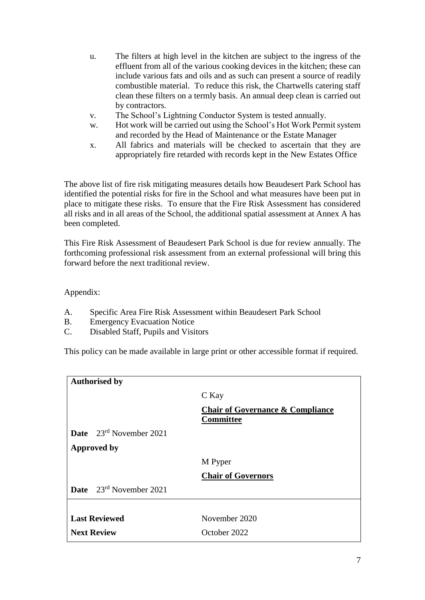- u. The filters at high level in the kitchen are subject to the ingress of the effluent from all of the various cooking devices in the kitchen; these can include various fats and oils and as such can present a source of readily combustible material. To reduce this risk, the Chartwells catering staff clean these filters on a termly basis. An annual deep clean is carried out by contractors.
- v. The School's Lightning Conductor System is tested annually.
- w. Hot work will be carried out using the School's Hot Work Permit system and recorded by the Head of Maintenance or the Estate Manager
- x. All fabrics and materials will be checked to ascertain that they are appropriately fire retarded with records kept in the New Estates Office

The above list of fire risk mitigating measures details how Beaudesert Park School has identified the potential risks for fire in the School and what measures have been put in place to mitigate these risks. To ensure that the Fire Risk Assessment has considered all risks and in all areas of the School, the additional spatial assessment at Annex A has been completed.

This Fire Risk Assessment of Beaudesert Park School is due for review annually. The forthcoming professional risk assessment from an external professional will bring this forward before the next traditional review.

Appendix:

- A. Specific Area Fire Risk Assessment within Beaudesert Park School
- B. Emergency Evacuation Notice
- C. Disabled Staff, Pupils and Visitors

This policy can be made available in large print or other accessible format if required.

| <b>Authorised by</b>                |                                                                 |
|-------------------------------------|-----------------------------------------------------------------|
|                                     | C Kay                                                           |
|                                     | <b>Chair of Governance &amp; Compliance</b><br><b>Committee</b> |
| <b>Date</b> $23^{rd}$ November 2021 |                                                                 |
| <b>Approved by</b>                  |                                                                 |
|                                     | M Pyper                                                         |
|                                     | <b>Chair of Governors</b>                                       |
| <b>Date</b> $23^{rd}$ November 2021 |                                                                 |
|                                     |                                                                 |
| <b>Last Reviewed</b>                | November 2020                                                   |
| <b>Next Review</b>                  | October 2022                                                    |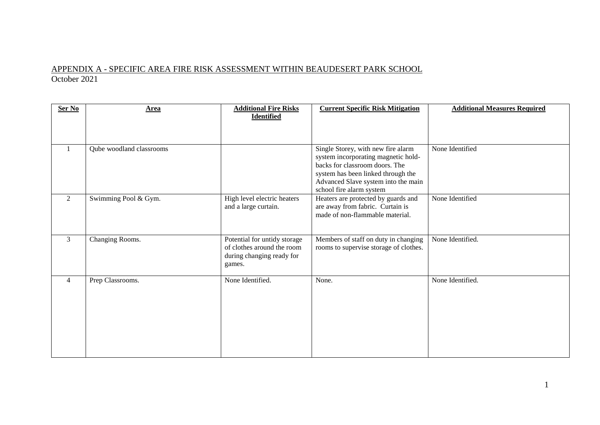### APPENDIX A - SPECIFIC AREA FIRE RISK ASSESSMENT WITHIN BEAUDESERT PARK SCHOOL October 2021

| Ser No         | <b>Area</b>              | <b>Additional Fire Risks</b><br><b>Identified</b>                                                 | <b>Current Specific Risk Mitigation</b>                                                                                                                                                                              | <b>Additional Measures Required</b> |
|----------------|--------------------------|---------------------------------------------------------------------------------------------------|----------------------------------------------------------------------------------------------------------------------------------------------------------------------------------------------------------------------|-------------------------------------|
| $\mathbf{1}$   | Qube woodland classrooms |                                                                                                   | Single Storey, with new fire alarm<br>system incorporating magnetic hold-<br>backs for classroom doors. The<br>system has been linked through the<br>Advanced Slave system into the main<br>school fire alarm system | None Identified                     |
| 2              | Swimming Pool & Gym.     | High level electric heaters<br>and a large curtain.                                               | Heaters are protected by guards and<br>are away from fabric. Curtain is<br>made of non-flammable material.                                                                                                           | None Identified                     |
| 3              | Changing Rooms.          | Potential for untidy storage<br>of clothes around the room<br>during changing ready for<br>games. | Members of staff on duty in changing<br>rooms to supervise storage of clothes.                                                                                                                                       | None Identified.                    |
| $\overline{4}$ | Prep Classrooms.         | None Identified.                                                                                  | None.                                                                                                                                                                                                                | None Identified.                    |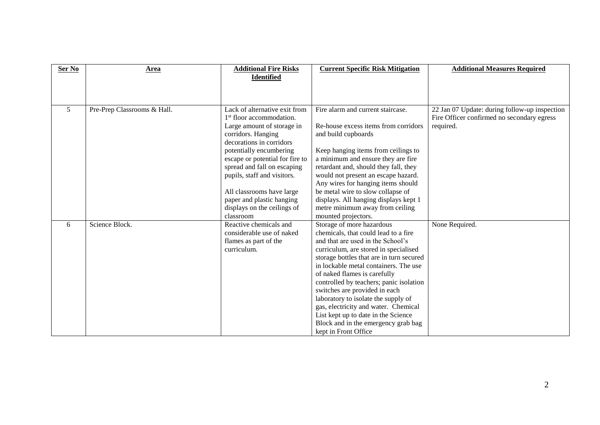| Ser No         | Area                        | <b>Additional Fire Risks</b><br><b>Identified</b>                                                                                                                                                                                                                                                                                                                                       | <b>Current Specific Risk Mitigation</b>                                                                                                                                                                                                                                                                                                                                                                                                                                                                                               | <b>Additional Measures Required</b>                                                                      |
|----------------|-----------------------------|-----------------------------------------------------------------------------------------------------------------------------------------------------------------------------------------------------------------------------------------------------------------------------------------------------------------------------------------------------------------------------------------|---------------------------------------------------------------------------------------------------------------------------------------------------------------------------------------------------------------------------------------------------------------------------------------------------------------------------------------------------------------------------------------------------------------------------------------------------------------------------------------------------------------------------------------|----------------------------------------------------------------------------------------------------------|
| 5 <sup>5</sup> | Pre-Prep Classrooms & Hall. | Lack of alternative exit from<br>1 <sup>st</sup> floor accommodation.<br>Large amount of storage in<br>corridors. Hanging<br>decorations in corridors<br>potentially encumbering<br>escape or potential for fire to<br>spread and fall on escaping<br>pupils, staff and visitors.<br>All classrooms have large<br>paper and plastic hanging<br>displays on the ceilings of<br>classroom | Fire alarm and current staircase.<br>Re-house excess items from corridors<br>and build cupboards<br>Keep hanging items from ceilings to<br>a minimum and ensure they are fire<br>retardant and, should they fall, they<br>would not present an escape hazard.<br>Any wires for hanging items should<br>be metal wire to slow collapse of<br>displays. All hanging displays kept 1<br>metre minimum away from ceiling<br>mounted projectors.                                                                                           | 22 Jan 07 Update: during follow-up inspection<br>Fire Officer confirmed no secondary egress<br>required. |
| 6              | Science Block.              | Reactive chemicals and<br>considerable use of naked<br>flames as part of the<br>curriculum.                                                                                                                                                                                                                                                                                             | Storage of more hazardous<br>chemicals, that could lead to a fire<br>and that are used in the School's<br>curriculum, are stored in specialised<br>storage bottles that are in turn secured<br>in lockable metal containers. The use<br>of naked flames is carefully<br>controlled by teachers; panic isolation<br>switches are provided in each<br>laboratory to isolate the supply of<br>gas, electricity and water. Chemical<br>List kept up to date in the Science<br>Block and in the emergency grab bag<br>kept in Front Office | None Required.                                                                                           |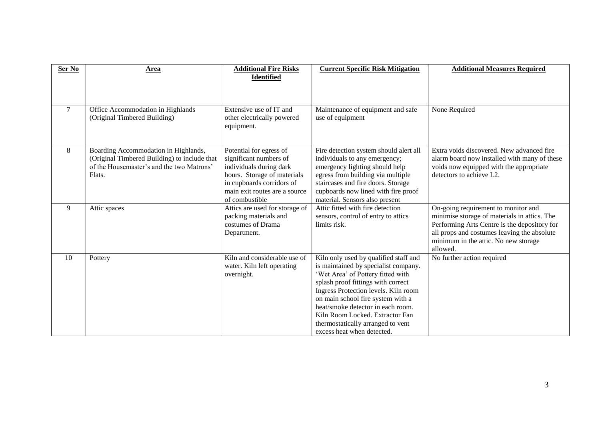| Ser No | Area                                                                                                                                        | <b>Additional Fire Risks</b><br><b>Identified</b>                                                                                                                                           | <b>Current Specific Risk Mitigation</b>                                                                                                                                                                                                                                                                                                                                          | <b>Additional Measures Required</b>                                                                                                                                                                                                    |
|--------|---------------------------------------------------------------------------------------------------------------------------------------------|---------------------------------------------------------------------------------------------------------------------------------------------------------------------------------------------|----------------------------------------------------------------------------------------------------------------------------------------------------------------------------------------------------------------------------------------------------------------------------------------------------------------------------------------------------------------------------------|----------------------------------------------------------------------------------------------------------------------------------------------------------------------------------------------------------------------------------------|
| $\tau$ | Office Accommodation in Highlands<br>(Original Timbered Building)                                                                           | Extensive use of IT and<br>other electrically powered<br>equipment.                                                                                                                         | Maintenance of equipment and safe<br>use of equipment                                                                                                                                                                                                                                                                                                                            | None Required                                                                                                                                                                                                                          |
| 8      | Boarding Accommodation in Highlands,<br>(Original Timbered Building) to include that<br>of the Housemaster's and the two Matrons'<br>Flats. | Potential for egress of<br>significant numbers of<br>individuals during dark<br>hours. Storage of materials<br>in cupboards corridors of<br>main exit routes are a source<br>of combustible | Fire detection system should alert all<br>individuals to any emergency;<br>emergency lighting should help<br>egress from building via multiple<br>staircases and fire doors. Storage<br>cupboards now lined with fire proof<br>material. Sensors also present                                                                                                                    | Extra voids discovered. New advanced fire<br>alarm board now installed with many of these<br>voids now equipped with the appropriate<br>detectors to achieve L2.                                                                       |
| 9      | Attic spaces                                                                                                                                | Attics are used for storage of<br>packing materials and<br>costumes of Drama<br>Department.                                                                                                 | Attic fitted with fire detection<br>sensors, control of entry to attics<br>limits risk.                                                                                                                                                                                                                                                                                          | On-going requirement to monitor and<br>minimise storage of materials in attics. The<br>Performing Arts Centre is the depository for<br>all props and costumes leaving the absolute<br>minimum in the attic. No new storage<br>allowed. |
| 10     | Pottery                                                                                                                                     | Kiln and considerable use of<br>water. Kiln left operating<br>overnight.                                                                                                                    | Kiln only used by qualified staff and<br>is maintained by specialist company.<br>'Wet Area' of Pottery fitted with<br>splash proof fittings with correct<br>Ingress Protection levels. Kiln room<br>on main school fire system with a<br>heat/smoke detector in each room.<br>Kiln Room Locked, Extractor Fan<br>thermostatically arranged to vent<br>excess heat when detected. | No further action required                                                                                                                                                                                                             |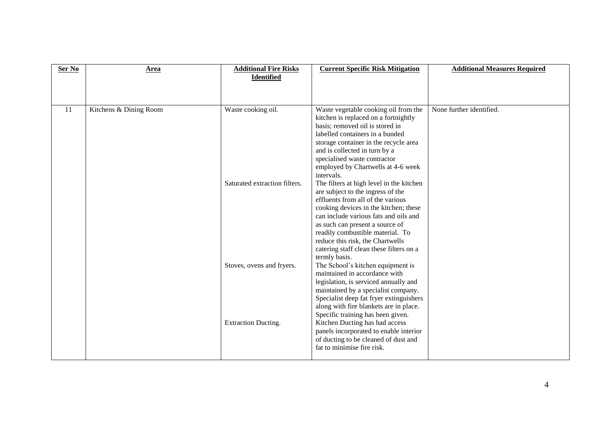| Ser No | <b>Area</b>            | <b>Additional Fire Risks</b><br><b>Identified</b> | <b>Current Specific Risk Mitigation</b>                                                                                                                                                                                                                                                                                                                                     | <b>Additional Measures Required</b> |
|--------|------------------------|---------------------------------------------------|-----------------------------------------------------------------------------------------------------------------------------------------------------------------------------------------------------------------------------------------------------------------------------------------------------------------------------------------------------------------------------|-------------------------------------|
| 11     | Kitchens & Dining Room | Waste cooking oil.                                | Waste vegetable cooking oil from the<br>kitchen is replaced on a fortnightly<br>basis; removed oil is stored in<br>labelled containers in a bunded<br>storage container in the recycle area<br>and is collected in turn by a<br>specialised waste contractor<br>employed by Chartwells at 4-6 week<br>intervals.                                                            | None further identified.            |
|        |                        | Saturated extraction filters.                     | The filters at high level in the kitchen<br>are subject to the ingress of the<br>effluents from all of the various<br>cooking devices in the kitchen; these<br>can include various fats and oils and<br>as such can present a source of<br>readily combustible material. To<br>reduce this risk, the Chartwells<br>catering staff clean these filters on a<br>termly basis. |                                     |
|        |                        | Stoves, ovens and fryers.                         | The School's kitchen equipment is<br>maintained in accordance with<br>legislation, is serviced annually and<br>maintained by a specialist company.<br>Specialist deep fat fryer extinguishers<br>along with fire blankets are in place.<br>Specific training has been given.                                                                                                |                                     |
|        |                        | Extraction Ducting.                               | Kitchen Ducting has had access<br>panels incorporated to enable interior<br>of ducting to be cleaned of dust and<br>fat to minimise fire risk.                                                                                                                                                                                                                              |                                     |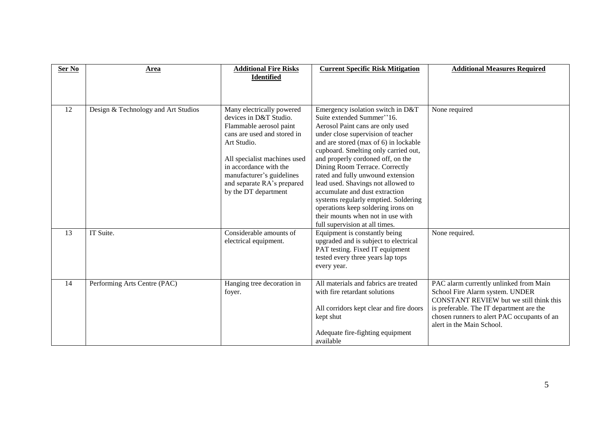| Ser No | Area                                | <b>Additional Fire Risks</b><br><b>Identified</b>                                                                                                                                                                                                                         | <b>Current Specific Risk Mitigation</b>                                                                                                                                                                                                                                                                                                                                                                                                                                                                                                                            | <b>Additional Measures Required</b>                                                                                                                                                                                                                 |
|--------|-------------------------------------|---------------------------------------------------------------------------------------------------------------------------------------------------------------------------------------------------------------------------------------------------------------------------|--------------------------------------------------------------------------------------------------------------------------------------------------------------------------------------------------------------------------------------------------------------------------------------------------------------------------------------------------------------------------------------------------------------------------------------------------------------------------------------------------------------------------------------------------------------------|-----------------------------------------------------------------------------------------------------------------------------------------------------------------------------------------------------------------------------------------------------|
| 12     | Design & Technology and Art Studios | Many electrically powered<br>devices in D&T Studio.<br>Flammable aerosol paint<br>cans are used and stored in<br>Art Studio.<br>All specialist machines used<br>in accordance with the<br>manufacturer's guidelines<br>and separate RA's prepared<br>by the DT department | Emergency isolation switch in D&T<br>Suite extended Summer"16.<br>Aerosol Paint cans are only used<br>under close supervision of teacher<br>and are stored (max of 6) in lockable<br>cupboard. Smelting only carried out,<br>and properly cordoned off, on the<br>Dining Room Terrace. Correctly<br>rated and fully unwound extension<br>lead used. Shavings not allowed to<br>accumulate and dust extraction<br>systems regularly emptied. Soldering<br>operations keep soldering irons on<br>their mounts when not in use with<br>full supervision at all times. | None required                                                                                                                                                                                                                                       |
| 13     | IT Suite.                           | Considerable amounts of<br>electrical equipment.                                                                                                                                                                                                                          | Equipment is constantly being<br>upgraded and is subject to electrical<br>PAT testing. Fixed IT equipment<br>tested every three years lap tops<br>every year.                                                                                                                                                                                                                                                                                                                                                                                                      | None required.                                                                                                                                                                                                                                      |
| 14     | Performing Arts Centre (PAC)        | Hanging tree decoration in<br>foyer.                                                                                                                                                                                                                                      | All materials and fabrics are treated<br>with fire retardant solutions<br>All corridors kept clear and fire doors<br>kept shut<br>Adequate fire-fighting equipment<br>available                                                                                                                                                                                                                                                                                                                                                                                    | PAC alarm currently unlinked from Main<br>School Fire Alarm system. UNDER<br><b>CONSTANT REVIEW</b> but we still think this<br>is preferable. The IT department are the<br>chosen runners to alert PAC occupants of an<br>alert in the Main School. |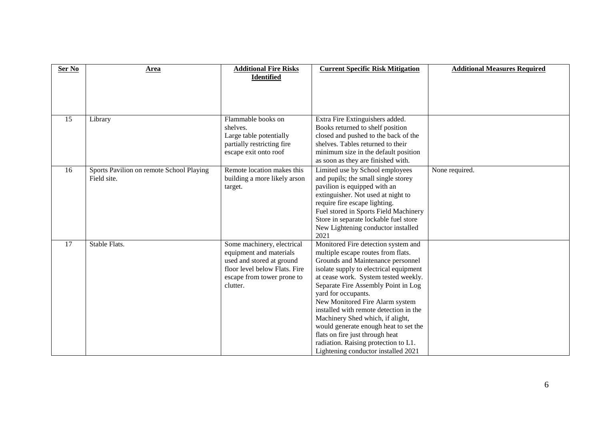| Ser No | Area                                                    | <b>Additional Fire Risks</b><br><b>Identified</b>                                                                                                             | <b>Current Specific Risk Mitigation</b>                                                                                                                                                                                                                                                                                                                                                                                                                                                                                                    | <b>Additional Measures Required</b> |
|--------|---------------------------------------------------------|---------------------------------------------------------------------------------------------------------------------------------------------------------------|--------------------------------------------------------------------------------------------------------------------------------------------------------------------------------------------------------------------------------------------------------------------------------------------------------------------------------------------------------------------------------------------------------------------------------------------------------------------------------------------------------------------------------------------|-------------------------------------|
|        |                                                         |                                                                                                                                                               |                                                                                                                                                                                                                                                                                                                                                                                                                                                                                                                                            |                                     |
| 15     | Library                                                 | Flammable books on<br>shelves.<br>Large table potentially<br>partially restricting fire<br>escape exit onto roof                                              | Extra Fire Extinguishers added.<br>Books returned to shelf position<br>closed and pushed to the back of the<br>shelves. Tables returned to their<br>minimum size in the default position<br>as soon as they are finished with.                                                                                                                                                                                                                                                                                                             |                                     |
| 16     | Sports Pavilion on remote School Playing<br>Field site. | Remote location makes this<br>building a more likely arson<br>target.                                                                                         | Limited use by School employees<br>and pupils; the small single storey<br>pavilion is equipped with an<br>extinguisher. Not used at night to<br>require fire escape lighting.<br>Fuel stored in Sports Field Machinery<br>Store in separate lockable fuel store<br>New Lightening conductor installed<br>2021                                                                                                                                                                                                                              | None required.                      |
| 17     | Stable Flats.                                           | Some machinery, electrical<br>equipment and materials<br>used and stored at ground<br>floor level below Flats. Fire<br>escape from tower prone to<br>clutter. | Monitored Fire detection system and<br>multiple escape routes from flats.<br>Grounds and Maintenance personnel<br>isolate supply to electrical equipment<br>at cease work. System tested weekly.<br>Separate Fire Assembly Point in Log<br>yard for occupants.<br>New Monitored Fire Alarm system<br>installed with remote detection in the<br>Machinery Shed which, if alight,<br>would generate enough heat to set the<br>flats on fire just through heat<br>radiation. Raising protection to L1.<br>Lightening conductor installed 2021 |                                     |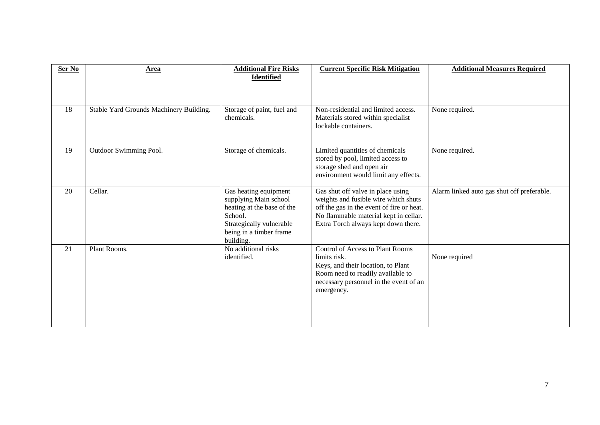| Ser No | Area                                    | <b>Additional Fire Risks</b><br><b>Identified</b>                                                                                                           | <b>Current Specific Risk Mitigation</b>                                                                                                                                                                | <b>Additional Measures Required</b>        |
|--------|-----------------------------------------|-------------------------------------------------------------------------------------------------------------------------------------------------------------|--------------------------------------------------------------------------------------------------------------------------------------------------------------------------------------------------------|--------------------------------------------|
| 18     | Stable Yard Grounds Machinery Building. | Storage of paint, fuel and<br>chemicals.                                                                                                                    | Non-residential and limited access.<br>Materials stored within specialist<br>lockable containers.                                                                                                      | None required.                             |
| 19     | Outdoor Swimming Pool.                  | Storage of chemicals.                                                                                                                                       | Limited quantities of chemicals<br>stored by pool, limited access to<br>storage shed and open air<br>environment would limit any effects.                                                              | None required.                             |
| 20     | Cellar.                                 | Gas heating equipment<br>supplying Main school<br>heating at the base of the<br>School.<br>Strategically vulnerable<br>being in a timber frame<br>building. | Gas shut off valve in place using<br>weights and fusible wire which shuts<br>off the gas in the event of fire or heat.<br>No flammable material kept in cellar.<br>Extra Torch always kept down there. | Alarm linked auto gas shut off preferable. |
| 21     | Plant Rooms.                            | No additional risks<br>identified.                                                                                                                          | <b>Control of Access to Plant Rooms</b><br>limits risk.<br>Keys, and their location, to Plant<br>Room need to readily available to<br>necessary personnel in the event of an<br>emergency.             | None required                              |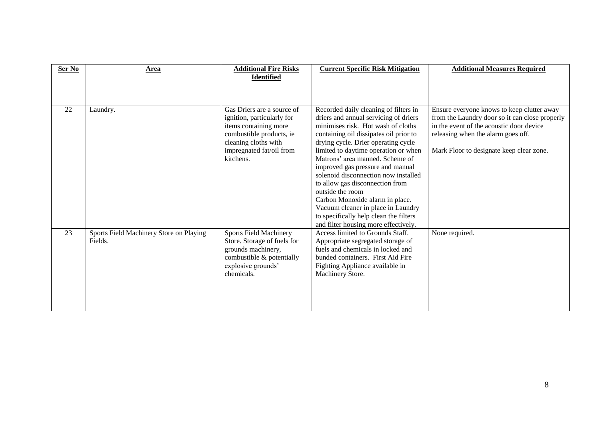| Area                                               | <b>Additional Fire Risks</b><br><b>Identified</b>                                                                                                   | <b>Current Specific Risk Mitigation</b>                                                                                                                                                                | <b>Additional Measures Required</b>                                                                                                                                          |
|----------------------------------------------------|-----------------------------------------------------------------------------------------------------------------------------------------------------|--------------------------------------------------------------------------------------------------------------------------------------------------------------------------------------------------------|------------------------------------------------------------------------------------------------------------------------------------------------------------------------------|
| Laundry.                                           | Gas Driers are a source of                                                                                                                          | Recorded daily cleaning of filters in                                                                                                                                                                  | Ensure everyone knows to keep clutter away                                                                                                                                   |
|                                                    | ignition, particularly for<br>items containing more<br>combustible products, ie<br>cleaning cloths with                                             | driers and annual servicing of driers<br>minimises risk. Hot wash of cloths<br>containing oil dissipates oil prior to<br>drying cycle. Drier operating cycle                                           | from the Laundry door so it can close properly<br>in the event of the acoustic door device<br>releasing when the alarm goes off.<br>Mark Floor to designate keep clear zone. |
|                                                    | kitchens.                                                                                                                                           | Matrons' area manned. Scheme of<br>improved gas pressure and manual<br>solenoid disconnection now installed                                                                                            |                                                                                                                                                                              |
|                                                    |                                                                                                                                                     | outside the room<br>Carbon Monoxide alarm in place.<br>Vacuum cleaner in place in Laundry<br>to specifically help clean the filters                                                                    |                                                                                                                                                                              |
| Sports Field Machinery Store on Playing<br>Fields. | <b>Sports Field Machinery</b><br>Store. Storage of fuels for<br>grounds machinery,<br>combustible & potentially<br>explosive grounds'<br>chemicals. | Access limited to Grounds Staff.<br>Appropriate segregated storage of<br>fuels and chemicals in locked and<br>bunded containers. First Aid Fire<br>Fighting Appliance available in<br>Machinery Store. | None required.                                                                                                                                                               |
|                                                    |                                                                                                                                                     | impregnated fat/oil from                                                                                                                                                                               | limited to daytime operation or when<br>to allow gas disconnection from<br>and filter housing more effectively.                                                              |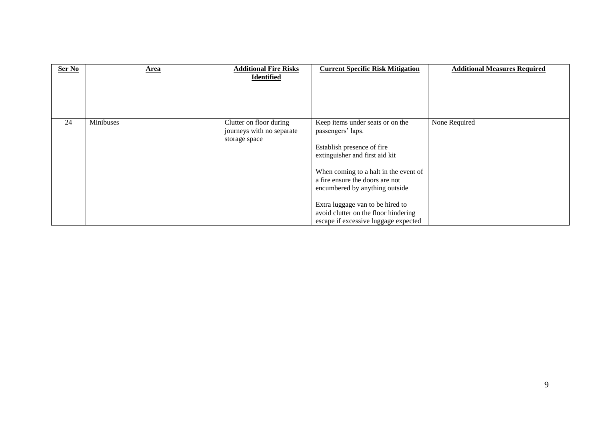| Ser No | Area      | <b>Additional Fire Risks</b><br><b>Identified</b>                     | <b>Current Specific Risk Mitigation</b>                                                                                                                                                                                                                                                                                                                 | <b>Additional Measures Required</b> |
|--------|-----------|-----------------------------------------------------------------------|---------------------------------------------------------------------------------------------------------------------------------------------------------------------------------------------------------------------------------------------------------------------------------------------------------------------------------------------------------|-------------------------------------|
| 24     | Minibuses | Clutter on floor during<br>journeys with no separate<br>storage space | Keep items under seats or on the<br>passengers' laps.<br>Establish presence of fire<br>extinguisher and first aid kit<br>When coming to a halt in the event of<br>a fire ensure the doors are not<br>encumbered by anything outside<br>Extra luggage van to be hired to<br>avoid clutter on the floor hindering<br>escape if excessive luggage expected | None Required                       |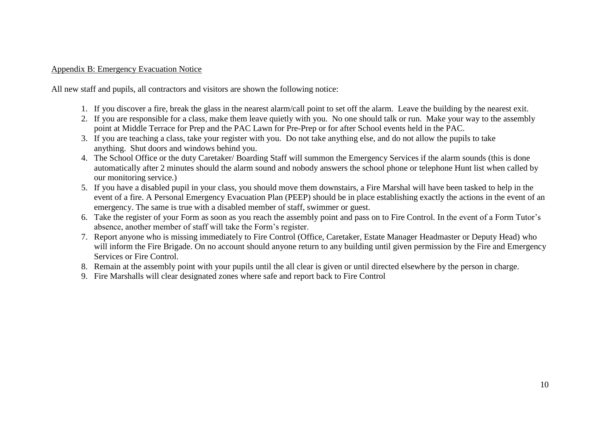#### Appendix B: Emergency Evacuation Notice

All new staff and pupils, all contractors and visitors are shown the following notice:

- 1. If you discover a fire, break the glass in the nearest alarm/call point to set off the alarm. Leave the building by the nearest exit.
- 2. If you are responsible for a class, make them leave quietly with you. No one should talk or run. Make your way to the assembly point at Middle Terrace for Prep and the PAC Lawn for Pre-Prep or for after School events held in the PAC.
- 3. If you are teaching a class, take your register with you. Do not take anything else, and do not allow the pupils to take anything. Shut doors and windows behind you.
- 4. The School Office or the duty Caretaker/ Boarding Staff will summon the Emergency Services if the alarm sounds (this is done automatically after 2 minutes should the alarm sound and nobody answers the school phone or telephone Hunt list when called by our monitoring service.)
- 5. If you have a disabled pupil in your class, you should move them downstairs, a Fire Marshal will have been tasked to help in the event of a fire. A Personal Emergency Evacuation Plan (PEEP) should be in place establishing exactly the actions in the event of an emergency. The same is true with a disabled member of staff, swimmer or guest.
- 6. Take the register of your Form as soon as you reach the assembly point and pass on to Fire Control. In the event of a Form Tutor's absence, another member of staff will take the Form's register.
- 7. Report anyone who is missing immediately to Fire Control (Office, Caretaker, Estate Manager Headmaster or Deputy Head) who will inform the Fire Brigade. On no account should anyone return to any building until given permission by the Fire and Emergency Services or Fire Control.
- 8. Remain at the assembly point with your pupils until the all clear is given or until directed elsewhere by the person in charge.
- 9. Fire Marshalls will clear designated zones where safe and report back to Fire Control